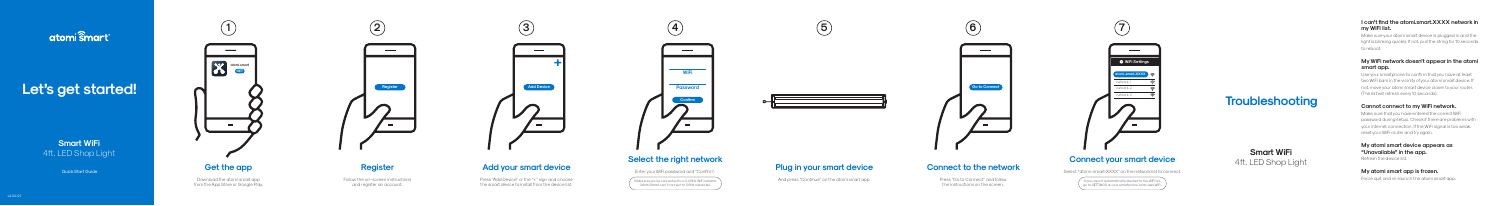# atomi Ŝmart<sup>®</sup>

# Let's get started!

**Smart WiFi** 4ft. LED Shop Light



**5**



**6**



Download the atomi smart app from the App Store or Google Play. Press "Add Device" or the "+" sign and choose the smart device to install from the device list.

# **Register**

Follow the on-screen instructions and register an account.







Make sure you're connected to a 2.4GHz WiFi network (atomi Smart can't connect to 5GHz networks).

# aujok Start Guide **Register Register Register Register Register Register Register Register Register Register Register Register Register Register Register Register Register Register Register Register Register Register Regis**

And press "Continue" on the atomi smart app.



## **Connect your smart device**

Select "atomi-smart-XXXX" on the network list to connect.

 $\sqrt{\phantom{a}}$  If you are not automatically directed to the WiFi list, go to SETTINGS on your smartphone and press WiFi.

**Smart WiFi** 4ft. LED Shop Light

# **Connect to the network**

#### **I can't find the atomi.smart.XXXX network in my WiFi list.**

Press "Go to Connect" and follow the instructions on the screen.

Make sure your atomi smart device is plugged in and the light is blinking quickly. If not, pull the string for 10 seconds to reboot.

### **My WiFi network doesn't appear in the atomi**  smart app.

## **Select the right network**

Use your smartphone to confirm that you have at least two WiFi bars in the vicinity of your atomi smart device. If not, move your atomi smart device closer to your router. (The list will refresh every 10 seconds).

Enter your WiFi password and "Confirm".

**My atomi smart device appears as "Unavailable" in the app.** Refresh the device list.

## **My atomi smart app is frozen.**

Force quit and re-launch the atomi smart app.

### **Cannot connect to my WiFi network.**

Make sure that you have entered the correct WiFi password during setup. Check if there are problems with your internet connection. If the WiFi signal is too weak, reset your WiFi router and try again.

**Troubleshooting**